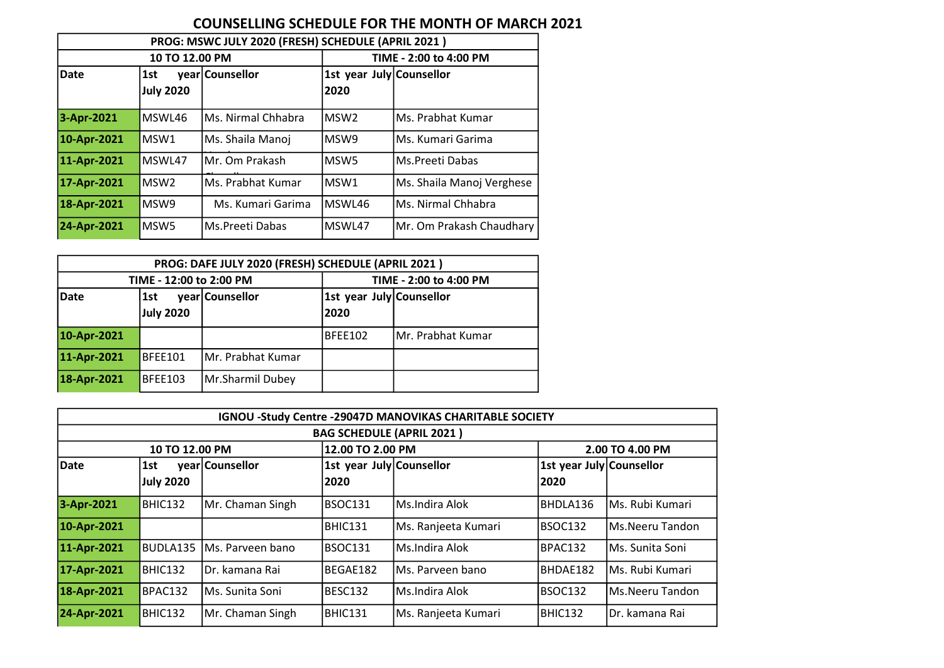## COUNSELLING SCHEDULE FOR THE MONTH OF MARCH 2021

| PROG: MSWC JULY 2020 (FRESH) SCHEDULE (APRIL 2021) |                         |                    |                                  |                           |  |  |  |  |
|----------------------------------------------------|-------------------------|--------------------|----------------------------------|---------------------------|--|--|--|--|
|                                                    | 10 TO 12.00 PM          |                    | TIME - 2:00 to 4:00 PM           |                           |  |  |  |  |
| <b>Date</b>                                        | 1st<br><b>July 2020</b> | year Counsellor    | 1st year July Counsellor<br>2020 |                           |  |  |  |  |
|                                                    |                         |                    |                                  |                           |  |  |  |  |
| 3-Apr-2021                                         | MSWL46                  | Ms. Nirmal Chhabra | lMSW2                            | Ms. Prabhat Kumar         |  |  |  |  |
| 10-Apr-2021                                        | MSW1                    | Ms. Shaila Manoj   | lMSW9                            | Ms. Kumari Garima         |  |  |  |  |
| 11-Apr-2021                                        | MSWL47                  | lMr. Om Prakash    | MSW5                             | Ms.Preeti Dabas           |  |  |  |  |
| 17-Apr-2021                                        | MSW <sub>2</sub>        | lMs. Prabhat Kumar | lMSW1                            | Ms. Shaila Manoj Verghese |  |  |  |  |
| 18-Apr-2021                                        | MSW9                    | Ms. Kumari Garima  | MSWL46                           | Ms. Nirmal Chhabra        |  |  |  |  |
| 24-Apr-2021                                        | MSW <sub>5</sub>        | lMs.Preeti Dabas   | MSWL47                           | Mr. Om Prakash Chaudhary  |  |  |  |  |

| PROG: DAFE JULY 2020 (FRESH) SCHEDULE (APRIL 2021) |                         |                   |                          |                   |  |  |  |  |
|----------------------------------------------------|-------------------------|-------------------|--------------------------|-------------------|--|--|--|--|
|                                                    | TIME - 12:00 to 2:00 PM |                   | TIME - 2:00 to 4:00 PM   |                   |  |  |  |  |
| Date                                               | 1st                     | year Counsellor   | 1st year July Counsellor |                   |  |  |  |  |
|                                                    | July 2020               |                   | 2020                     |                   |  |  |  |  |
| 10-Apr-2021                                        |                         |                   | <b>BFEE102</b>           | Mr. Prabhat Kumar |  |  |  |  |
| 11-Apr-2021<br>BFEE101                             |                         | Mr. Prabhat Kumar |                          |                   |  |  |  |  |
| 18-Apr-2021                                        | BFEE103                 | Mr.Sharmil Dubey  |                          |                   |  |  |  |  |

|                                  | IGNOU -Study Centre -29047D MANOVIKAS CHARITABLE SOCIETY |                  |                          |                     |                          |                  |  |  |  |
|----------------------------------|----------------------------------------------------------|------------------|--------------------------|---------------------|--------------------------|------------------|--|--|--|
| <b>BAG SCHEDULE (APRIL 2021)</b> |                                                          |                  |                          |                     |                          |                  |  |  |  |
|                                  | 10 TO 12.00 PM                                           |                  | 12.00 TO 2.00 PM         |                     |                          | 2.00 TO 4.00 PM  |  |  |  |
| <b>Date</b>                      | 1st                                                      | year Counsellor  | 1st year July Counsellor |                     | 1st year July Counsellor |                  |  |  |  |
|                                  | <b>July 2020</b>                                         |                  | 2020                     |                     | 12020                    |                  |  |  |  |
| 3-Apr-2021                       | BHIC132                                                  | Mr. Chaman Singh | BSOC131                  | lMs.Indira Alok     | BHDLA136                 | lMs. Rubi Kumari |  |  |  |
| 10-Apr-2021                      |                                                          |                  | BHIC131                  | Ms. Ranjeeta Kumari | BSOC132                  | lMs.Neeru Tandon |  |  |  |
| 11-Apr-2021                      | BUDLA135                                                 | Ms. Parveen bano | BSOC131                  | lMs.Indira Alok     | BPAC132                  | Ms. Sunita Soni  |  |  |  |
| 17-Apr-2021                      | BHIC132                                                  | IDr. kamana Rai  | BEGAE182                 | lMs. Parveen bano   | BHDAE182                 | lMs. Rubi Kumari |  |  |  |
| 18-Apr-2021                      | BPAC132                                                  | Ms. Sunita Soni  | BESC132                  | Ms.Indira Alok      | BSOC132                  | lMs.Neeru Tandon |  |  |  |
| 24-Apr-2021                      | BHIC132                                                  | Mr. Chaman Singh | BHIC131                  | Ms. Ranjeeta Kumari | BHIC132                  | Dr. kamana Rai   |  |  |  |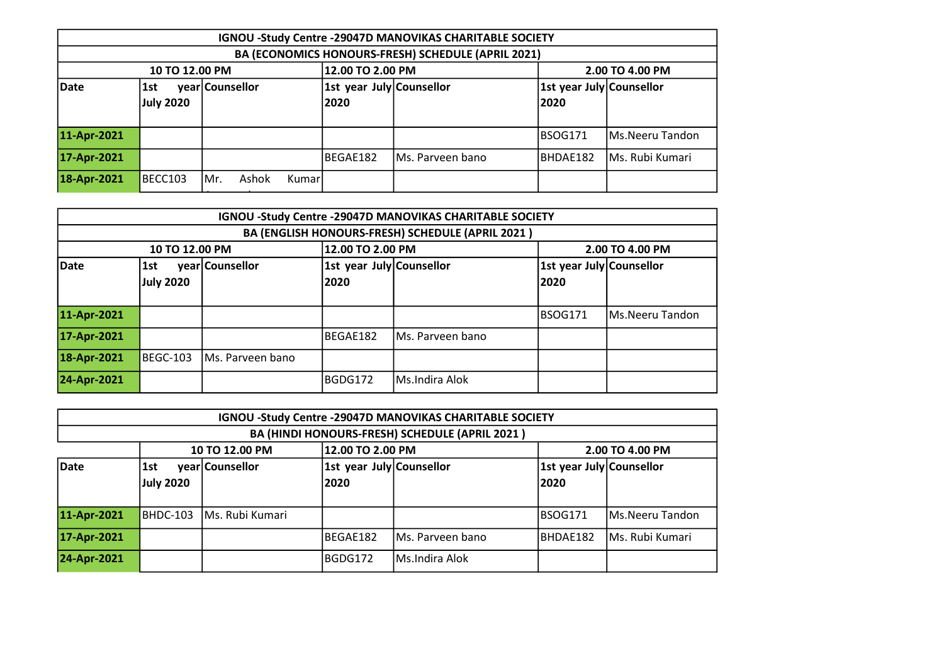|                                                   | IGNOU -Study Centre -29047D MANOVIKAS CHARITABLE SOCIETY |                 |  |  |                          |                  |  |                          |                 |
|---------------------------------------------------|----------------------------------------------------------|-----------------|--|--|--------------------------|------------------|--|--------------------------|-----------------|
|                                                   | BA (ECONOMICS HONOURS-FRESH) SCHEDULE (APRIL 2021)       |                 |  |  |                          |                  |  |                          |                 |
|                                                   | 12.00 TO 2.00 PM<br>2.00 TO 4.00 PM<br>10 TO 12.00 PM    |                 |  |  |                          |                  |  |                          |                 |
| Date                                              | 1st                                                      | year Counsellor |  |  | 1st year July Counsellor |                  |  | 1st year July Counsellor |                 |
|                                                   | <b>July 2020</b>                                         |                 |  |  | 2020                     |                  |  | 2020                     |                 |
|                                                   |                                                          |                 |  |  |                          |                  |  |                          |                 |
| 11-Apr-2021                                       |                                                          |                 |  |  |                          |                  |  | BSOG171                  | Ms.Neeru Tandon |
| 17-Apr-2021                                       |                                                          |                 |  |  | BEGAE182                 | Ms. Parveen bano |  | BHDAE182                 | Ms. Rubi Kumari |
| 18-Apr-2021<br>BECC103<br>Ashok<br>IMr.<br>Kumarl |                                                          |                 |  |  |                          |                  |  |                          |                 |
|                                                   |                                                          |                 |  |  |                          |                  |  |                          |                 |

|             | IGNOU -Study Centre -29047D MANOVIKAS CHARITABLE SOCIETY |                  |                          |                   |          |                          |  |  |  |
|-------------|----------------------------------------------------------|------------------|--------------------------|-------------------|----------|--------------------------|--|--|--|
|             | BA (ENGLISH HONOURS-FRESH) SCHEDULE (APRIL 2021)         |                  |                          |                   |          |                          |  |  |  |
|             | 12.00 TO 2.00 PM<br>10 TO 12.00 PM<br>2.00 TO 4.00 PM    |                  |                          |                   |          |                          |  |  |  |
| Date        | 1st                                                      | year Counsellor  | 1st year July Counsellor |                   |          | 1st year July Counsellor |  |  |  |
|             | July 2020                                                |                  | 2020                     |                   | 2020     |                          |  |  |  |
|             |                                                          |                  |                          |                   |          |                          |  |  |  |
| 11-Apr-2021 |                                                          |                  |                          |                   | IBSOG171 | Ms.Neeru Tandon          |  |  |  |
| 17-Apr-2021 |                                                          |                  | BEGAE182                 | IMs. Parveen bano |          |                          |  |  |  |
| 18-Apr-2021 | BEGC-103                                                 | Ms. Parveen bano |                          |                   |          |                          |  |  |  |
| 24-Apr-2021 |                                                          |                  | BGDG172                  | Ms.Indira Alok    |          |                          |  |  |  |

|                                                | IGNOU -Study Centre -29047D MANOVIKAS CHARITABLE SOCIETY |                  |                                  |                  |                                   |                         |  |  |  |
|------------------------------------------------|----------------------------------------------------------|------------------|----------------------------------|------------------|-----------------------------------|-------------------------|--|--|--|
| BA (HINDI HONOURS-FRESH) SCHEDULE (APRIL 2021) |                                                          |                  |                                  |                  |                                   |                         |  |  |  |
|                                                | 12.00 TO 2.00 PM<br>2.00 TO 4.00 PM<br>10 TO 12.00 PM    |                  |                                  |                  |                                   |                         |  |  |  |
| Date                                           | 1st<br><b>July 2020</b>                                  | year Counsellor  | 1st year July Counsellor<br>2020 |                  | 1st year July Counsellor<br> 2020 |                         |  |  |  |
| 11-Apr-2021                                    | BHDC-103                                                 | lMs. Rubi Kumari |                                  |                  | BSOG171                           | Ms.Neeru Tandon         |  |  |  |
| 17-Apr-2021                                    |                                                          |                  | BEGAE182                         | Ms. Parveen bano | BHDAE182                          | <b>IMs. Rubi Kumari</b> |  |  |  |
| 24-Apr-2021                                    |                                                          |                  | BGDG172                          | Ms.Indira Alok   |                                   |                         |  |  |  |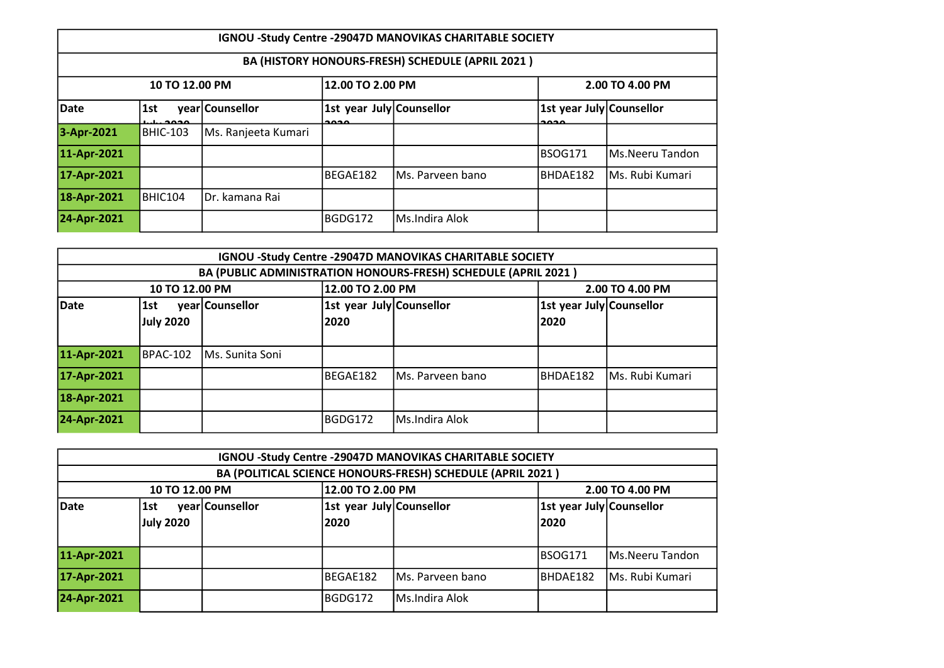|             | IGNOU -Study Centre -29047D MANOVIKAS CHARITABLE SOCIETY |                     |                                                              |                   |                                                              |                  |  |  |  |
|-------------|----------------------------------------------------------|---------------------|--------------------------------------------------------------|-------------------|--------------------------------------------------------------|------------------|--|--|--|
|             | BA (HISTORY HONOURS-FRESH) SCHEDULE (APRIL 2021)         |                     |                                                              |                   |                                                              |                  |  |  |  |
|             | 12.00 TO 2.00 PM<br>10 TO 12.00 PM<br>2.00 TO 4.00 PM    |                     |                                                              |                   |                                                              |                  |  |  |  |
| Date        | 1st<br>محمحہ                                             | year Counsellor     | 1st year July Counsellor<br>$\mathbf{a}\mathbf{a}\mathbf{a}$ |                   | 1st year July Counsellor<br>$\mathbf{a}\mathbf{a}\mathbf{a}$ |                  |  |  |  |
| 3-Apr-2021  | <b>BHIC-103</b>                                          | Ms. Ranjeeta Kumari |                                                              |                   |                                                              |                  |  |  |  |
| 11-Apr-2021 |                                                          |                     |                                                              |                   | BSOG171                                                      | lMs.Neeru Tandon |  |  |  |
| 17-Apr-2021 |                                                          |                     | BEGAE182                                                     | IMs. Parveen bano | BHDAE182                                                     | Ms. Rubi Kumari  |  |  |  |
| 18-Apr-2021 | BHIC104                                                  | IDr. kamana Rai     |                                                              |                   |                                                              |                  |  |  |  |
| 24-Apr-2021 |                                                          |                     | BGDG172                                                      | Ms.Indira Alok    |                                                              |                  |  |  |  |

| IGNOU -Study Centre -29047D MANOVIKAS CHARITABLE SOCIETY       |                  |                 |                                  |                  |                                   |                         |  |  |
|----------------------------------------------------------------|------------------|-----------------|----------------------------------|------------------|-----------------------------------|-------------------------|--|--|
| BA (PUBLIC ADMINISTRATION HONOURS-FRESH) SCHEDULE (APRIL 2021) |                  |                 |                                  |                  |                                   |                         |  |  |
| 12.00 TO 2.00 PM<br>10 TO 12.00 PM<br>2.00 TO 4.00 PM          |                  |                 |                                  |                  |                                   |                         |  |  |
| Date                                                           | 1st<br>July 2020 | year Counsellor | 1st year July Counsellor<br>2020 |                  | 1st year July Counsellor<br> 2020 |                         |  |  |
| 11-Apr-2021                                                    | BPAC-102         | Ms. Sunita Soni |                                  |                  |                                   |                         |  |  |
| 17-Apr-2021                                                    |                  |                 | BEGAE182                         | Ms. Parveen bano | BHDAE182                          | <b>IMs. Rubi Kumari</b> |  |  |
| 18-Apr-2021                                                    |                  |                 |                                  |                  |                                   |                         |  |  |
| 24-Apr-2021                                                    |                  |                 | BGDG172                          | Ms.Indira Alok   |                                   |                         |  |  |

|                                             | IGNOU -Study Centre -29047D MANOVIKAS CHARITABLE SOCIETY   |  |                                  |                  |                                   |                 |  |  |
|---------------------------------------------|------------------------------------------------------------|--|----------------------------------|------------------|-----------------------------------|-----------------|--|--|
|                                             | BA (POLITICAL SCIENCE HONOURS-FRESH) SCHEDULE (APRIL 2021) |  |                                  |                  |                                   |                 |  |  |
|                                             | 12.00 TO 2.00 PM<br>2.00 TO 4.00 PM<br>10 TO 12.00 PM      |  |                                  |                  |                                   |                 |  |  |
| Date<br>year Counsellor<br>1st<br>July 2020 |                                                            |  | 1st year July Counsellor<br>2020 |                  | 1st year July Counsellor<br> 2020 |                 |  |  |
| 11-Apr-2021                                 |                                                            |  |                                  |                  | IBSOG171                          | Ms.Neeru Tandon |  |  |
| 17-Apr-2021                                 |                                                            |  | BEGAE182                         | Ms. Parveen bano | BHDAE182                          | Ms. Rubi Kumari |  |  |
| 24-Apr-2021                                 |                                                            |  | BGDG172                          | Ms.Indira Alok   |                                   |                 |  |  |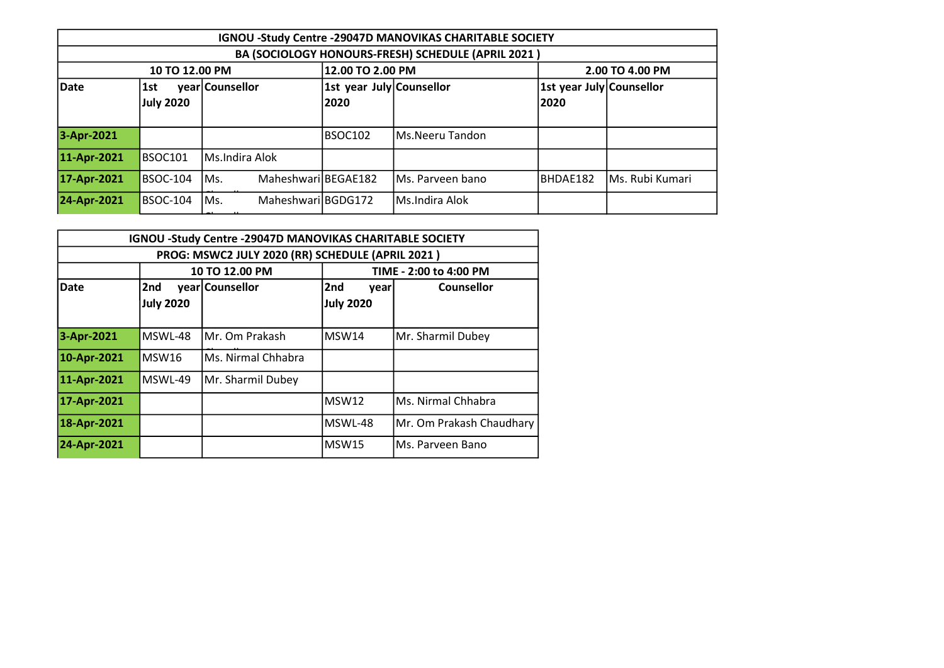|                                                       | IGNOU -Study Centre -29047D MANOVIKAS CHARITABLE SOCIETY |                             |                          |                   |          |                          |  |  |  |
|-------------------------------------------------------|----------------------------------------------------------|-----------------------------|--------------------------|-------------------|----------|--------------------------|--|--|--|
| BA (SOCIOLOGY HONOURS-FRESH) SCHEDULE (APRIL 2021)    |                                                          |                             |                          |                   |          |                          |  |  |  |
| 12.00 TO 2.00 PM<br>2.00 TO 4.00 PM<br>10 TO 12.00 PM |                                                          |                             |                          |                   |          |                          |  |  |  |
| Date                                                  | 1st                                                      | year Counsellor             | 1st year July Counsellor |                   |          | 1st year July Counsellor |  |  |  |
|                                                       | <b>July 2020</b>                                         |                             | 2020                     |                   | 2020     |                          |  |  |  |
|                                                       |                                                          |                             |                          |                   |          |                          |  |  |  |
| 3-Apr-2021                                            |                                                          |                             | BSOC102                  | Ms.Neeru Tandon   |          |                          |  |  |  |
| 11-Apr-2021                                           | BSOC101                                                  | lMs.Indira Alok             |                          |                   |          |                          |  |  |  |
| 17-Apr-2021                                           | BSOC-104                                                 | Maheshwari BEGAE182<br>lMs. |                          | IMs. Parveen bano | BHDAE182 | Ms. Rubi Kumari          |  |  |  |
| 24-Apr-2021                                           | BSOC-104                                                 | Maheshwari BGDG172<br>Ms.   |                          | Ms.Indira Alok    |          |                          |  |  |  |
|                                                       |                                                          |                             |                          |                   |          |                          |  |  |  |

| <b>IGNOU -Study Centre -29047D MANOVIKAS CHARITABLE SOCIETY</b> |           |                    |                  |                          |  |  |  |  |
|-----------------------------------------------------------------|-----------|--------------------|------------------|--------------------------|--|--|--|--|
| PROG: MSWC2 JULY 2020 (RR) SCHEDULE (APRIL 2021)                |           |                    |                  |                          |  |  |  |  |
|                                                                 |           | 10 TO 12.00 PM     |                  | TIME - 2:00 to 4:00 PM   |  |  |  |  |
| <b>Date</b>                                                     | l2nd      | year Counsellor    | 2nd<br>year      | <b>Counsellor</b>        |  |  |  |  |
|                                                                 | July 2020 |                    | <b>July 2020</b> |                          |  |  |  |  |
| 3-Apr-2021                                                      | MSWL-48   | Mr. Om Prakash     | MSW14            | Mr. Sharmil Dubey        |  |  |  |  |
| 10-Apr-2021                                                     | MSW16     | Ms. Nirmal Chhabra |                  |                          |  |  |  |  |
| 11-Apr-2021                                                     | MSWL-49   | Mr. Sharmil Dubey  |                  |                          |  |  |  |  |
| 17-Apr-2021                                                     |           |                    | MSW12            | Ms. Nirmal Chhabra       |  |  |  |  |
| 18-Apr-2021                                                     |           |                    | MSWL-48          | Mr. Om Prakash Chaudhary |  |  |  |  |
| 24-Apr-2021                                                     |           |                    | MSW15            | Ms. Parveen Bano         |  |  |  |  |